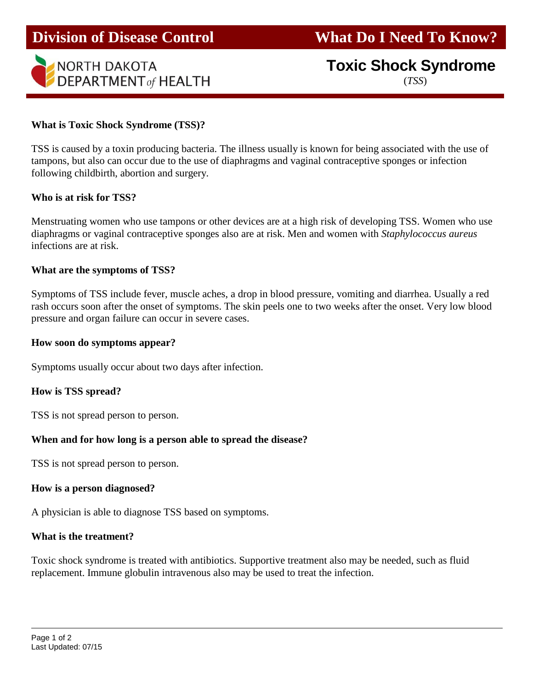

# **Toxic Shock Syndrome**

(*TSS*)

## **What is Toxic Shock Syndrome (TSS)?**

TSS is caused by a toxin producing bacteria. The illness usually is known for being associated with the use of tampons, but also can occur due to the use of diaphragms and vaginal contraceptive sponges or infection following childbirth, abortion and surgery.

#### **Who is at risk for TSS?**

Menstruating women who use tampons or other devices are at a high risk of developing TSS. Women who use diaphragms or vaginal contraceptive sponges also are at risk. Men and women with *Staphylococcus aureus* infections are at risk.

## **What are the symptoms of TSS?**

Symptoms of TSS include fever, muscle aches, a drop in blood pressure, vomiting and diarrhea. Usually a red rash occurs soon after the onset of symptoms. The skin peels one to two weeks after the onset. Very low blood pressure and organ failure can occur in severe cases.

## **How soon do symptoms appear?**

Symptoms usually occur about two days after infection.

#### **How is TSS spread?**

TSS is not spread person to person.

# **When and for how long is a person able to spread the disease?**

TSS is not spread person to person.

#### **How is a person diagnosed?**

A physician is able to diagnose TSS based on symptoms.

#### **What is the treatment?**

Toxic shock syndrome is treated with antibiotics. Supportive treatment also may be needed, such as fluid replacement. Immune globulin intravenous also may be used to treat the infection.